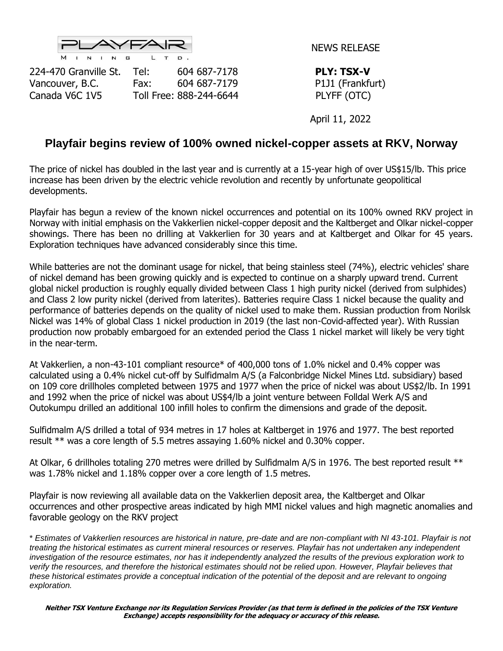

NEWS RELEASE

224-470 Granville St. Tel: 604 687-7178 **PLY: TSX-V** Vancouver, B.C. Fax: 604 687-7179 P1J1 (Frankfurt) Canada V6C 1V5 Toll Free: 888-244-6644 PLYFF (OTC)

April 11, 2022

## **Playfair begins review of 100% owned nickel-copper assets at RKV, Norway**

The price of nickel has doubled in the last year and is currently at a 15-year high of over US\$15/lb. This price increase has been driven by the electric vehicle revolution and recently by unfortunate geopolitical developments.

Playfair has begun a review of the known nickel occurrences and potential on its 100% owned RKV project in Norway with initial emphasis on the Vakkerlien nickel-copper deposit and the Kaltberget and Olkar nickel-copper showings. There has been no drilling at Vakkerlien for 30 years and at Kaltberget and Olkar for 45 years. Exploration techniques have advanced considerably since this time.

While batteries are not the dominant usage for nickel, that being stainless steel (74%), electric vehicles' share of nickel demand has been growing quickly and is expected to continue on a sharply upward trend. Current global nickel production is roughly equally divided between Class 1 high purity nickel (derived from sulphides) and Class 2 low purity nickel (derived from laterites). Batteries require Class 1 nickel because the quality and performance of batteries depends on the quality of nickel used to make them. Russian production from Norilsk Nickel was 14% of global Class 1 nickel production in 2019 (the last non-Covid-affected year). With Russian production now probably embargoed for an extended period the Class 1 nickel market will likely be very tight in the near-term.

At Vakkerlien, a non-43-101 compliant resource\* of 400,000 tons of 1.0% nickel and 0.4% copper was calculated using a 0.4% nickel cut-off by Sulfidmalm A/S (a Falconbridge Nickel Mines Ltd. subsidiary) based on 109 core drillholes completed between 1975 and 1977 when the price of nickel was about US\$2/lb. In 1991 and 1992 when the price of nickel was about US\$4/lb a joint venture between Folldal Werk A/S and Outokumpu drilled an additional 100 infill holes to confirm the dimensions and grade of the deposit.

Sulfidmalm A/S drilled a total of 934 metres in 17 holes at Kaltberget in 1976 and 1977. The best reported result \*\* was a core length of 5.5 metres assaying 1.60% nickel and 0.30% copper.

At Olkar, 6 drillholes totaling 270 metres were drilled by Sulfidmalm A/S in 1976. The best reported result \*\* was 1.78% nickel and 1.18% copper over a core length of 1.5 metres.

Playfair is now reviewing all available data on the Vakkerlien deposit area, the Kaltberget and Olkar occurrences and other prospective areas indicated by high MMI nickel values and high magnetic anomalies and favorable geology on the RKV project

\* *Estimates of Vakkerlien resources are historical in nature, pre-date and are non-compliant with NI 43-101. Playfair is not treating the historical estimates as current mineral resources or reserves. Playfair has not undertaken any independent investigation of the resource estimates, nor has it independently analyzed the results of the previous exploration work to verify the resources, and therefore the historical estimates should not be relied upon. However, Playfair believes that these historical estimates provide a conceptual indication of the potential of the deposit and are relevant to ongoing exploration.*